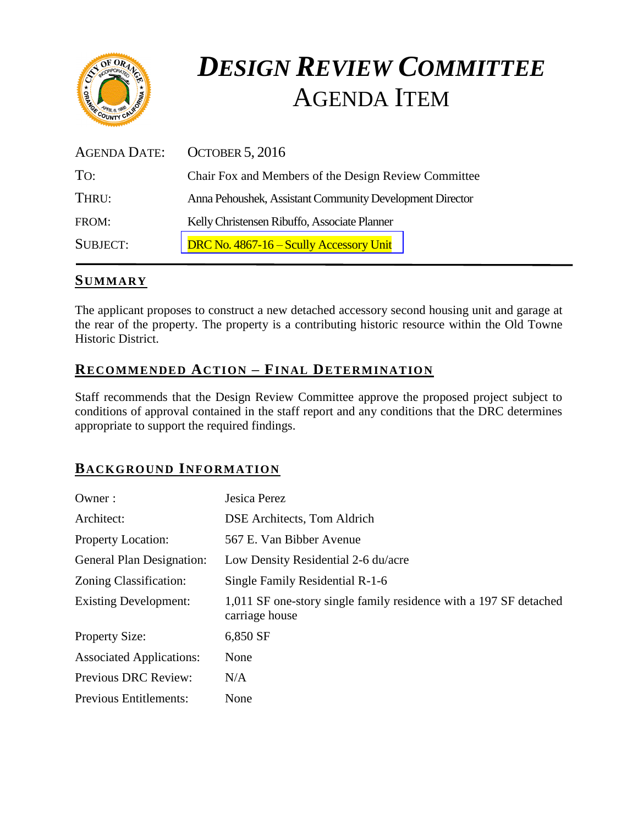

# *DESIGN REVIEW COMMITTEE*  AGENDA ITEM

| AGENDA DATE:    | <b>OCTOBER 5, 2016</b>                                   |
|-----------------|----------------------------------------------------------|
| TO:             | Chair Fox and Members of the Design Review Committee     |
| THRU:           | Anna Pehoushek, Assistant Community Development Director |
| FROM:           | Kelly Christensen Ribuffo, Associate Planner             |
| <b>SUBJECT:</b> | DRC No. 4867-16 – Scully Accessory Unit                  |

# **SUMMARY**

The applicant proposes to construct a new detached accessory second housing unit and garage at the rear of the property. The property is a contributing historic resource within the Old Towne Historic District.

# **RECOMMENDED ACTION – FINAL DETERMINATION**

Staff recommends that the Design Review Committee approve the proposed project subject to conditions of approval contained in the staff report and any conditions that the DRC determines appropriate to support the required findings.

# **BACKGROUND INFORMATION**

| Owner:                           | Jesica Perez                                                                        |
|----------------------------------|-------------------------------------------------------------------------------------|
| Architect:                       | DSE Architects, Tom Aldrich                                                         |
| <b>Property Location:</b>        | 567 E. Van Bibber Avenue                                                            |
| <b>General Plan Designation:</b> | Low Density Residential 2-6 du/acre                                                 |
| Zoning Classification:           | Single Family Residential R-1-6                                                     |
| <b>Existing Development:</b>     | 1,011 SF one-story single family residence with a 197 SF detached<br>carriage house |
| <b>Property Size:</b>            | 6,850 SF                                                                            |
| <b>Associated Applications:</b>  | None                                                                                |
| <b>Previous DRC Review:</b>      | N/A                                                                                 |
| <b>Previous Entitlements:</b>    | None                                                                                |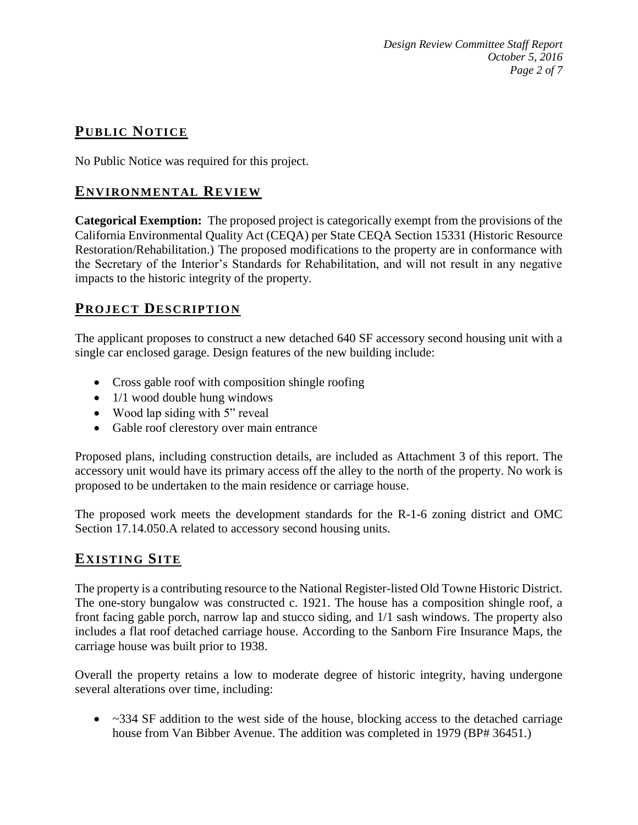*Design Review Committee Staff Report October 5, 2016 Page 2 of 7*

# **PUB LIC NOTICE**

No Public Notice was required for this project.

## **ENVIRONMENTAL REVIEW**

**Categorical Exemption:** The proposed project is categorically exempt from the provisions of the California Environmental Quality Act (CEQA) per State CEQA Section 15331 (Historic Resource Restoration/Rehabilitation.) The proposed modifications to the property are in conformance with the Secretary of the Interior's Standards for Rehabilitation, and will not result in any negative impacts to the historic integrity of the property.

# **PROJECT DESCRIP TION**

The applicant proposes to construct a new detached 640 SF accessory second housing unit with a single car enclosed garage. Design features of the new building include:

- Cross gable roof with composition shingle roofing
- $\bullet$  1/1 wood double hung windows
- Wood lap siding with 5" reveal
- Gable roof clerestory over main entrance

Proposed plans, including construction details, are included as Attachment 3 of this report. The accessory unit would have its primary access off the alley to the north of the property. No work is proposed to be undertaken to the main residence or carriage house.

The proposed work meets the development standards for the R-1-6 zoning district and OMC Section 17.14.050.A related to accessory second housing units.

# **EXISTING SITE**

The property is a contributing resource to the National Register-listed Old Towne Historic District. The one-story bungalow was constructed c. 1921. The house has a composition shingle roof, a front facing gable porch, narrow lap and stucco siding, and 1/1 sash windows. The property also includes a flat roof detached carriage house. According to the Sanborn Fire Insurance Maps, the carriage house was built prior to 1938.

Overall the property retains a low to moderate degree of historic integrity, having undergone several alterations over time, including:

 $\sim$   $\sim$  334 SF addition to the west side of the house, blocking access to the detached carriage house from Van Bibber Avenue. The addition was completed in 1979 (BP# 36451.)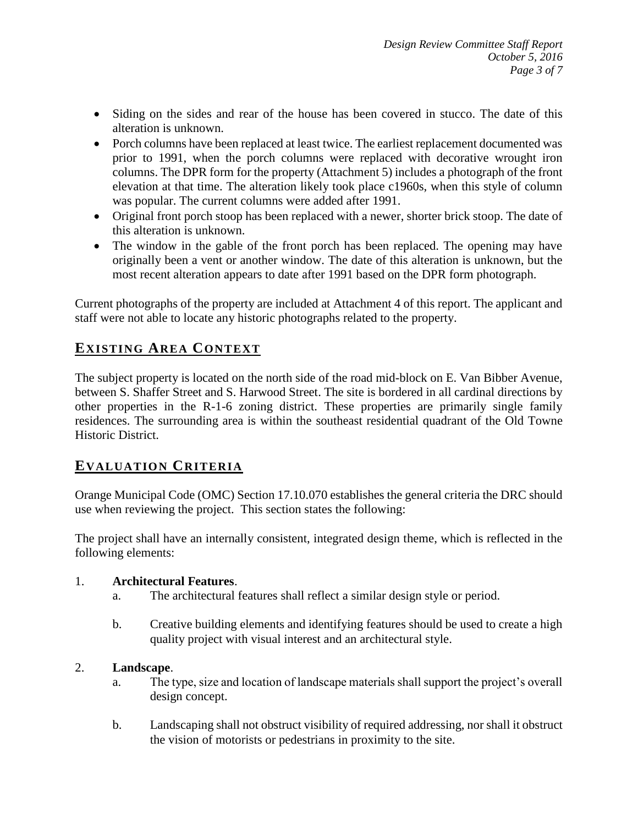- Siding on the sides and rear of the house has been covered in stucco. The date of this alteration is unknown.
- Porch columns have been replaced at least twice. The earliest replacement documented was prior to 1991, when the porch columns were replaced with decorative wrought iron columns. The DPR form for the property (Attachment 5) includes a photograph of the front elevation at that time. The alteration likely took place c1960s, when this style of column was popular. The current columns were added after 1991.
- Original front porch stoop has been replaced with a newer, shorter brick stoop. The date of this alteration is unknown.
- The window in the gable of the front porch has been replaced. The opening may have originally been a vent or another window. The date of this alteration is unknown, but the most recent alteration appears to date after 1991 based on the DPR form photograph.

Current photographs of the property are included at Attachment 4 of this report. The applicant and staff were not able to locate any historic photographs related to the property.

# **EXISTING AREA CONTEXT**

The subject property is located on the north side of the road mid-block on E. Van Bibber Avenue, between S. Shaffer Street and S. Harwood Street. The site is bordered in all cardinal directions by other properties in the R-1-6 zoning district. These properties are primarily single family residences. The surrounding area is within the southeast residential quadrant of the Old Towne Historic District.

# **EVALUATION CRITERIA**

Orange Municipal Code (OMC) Section 17.10.070 establishes the general criteria the DRC should use when reviewing the project. This section states the following:

The project shall have an internally consistent, integrated design theme, which is reflected in the following elements:

#### 1. **Architectural Features**.

- a. The architectural features shall reflect a similar design style or period.
- b. Creative building elements and identifying features should be used to create a high quality project with visual interest and an architectural style.

#### 2. **Landscape**.

- a. The type, size and location of landscape materials shall support the project's overall design concept.
- b. Landscaping shall not obstruct visibility of required addressing, nor shall it obstruct the vision of motorists or pedestrians in proximity to the site.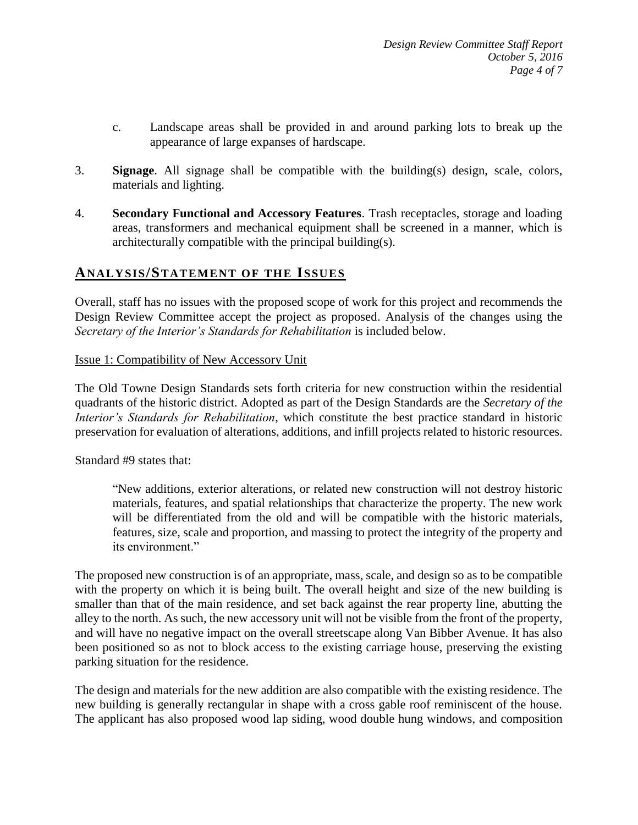- c. Landscape areas shall be provided in and around parking lots to break up the appearance of large expanses of hardscape.
- 3. **Signage**. All signage shall be compatible with the building(s) design, scale, colors, materials and lighting.
- 4. **Secondary Functional and Accessory Features**. Trash receptacles, storage and loading areas, transformers and mechanical equipment shall be screened in a manner, which is architecturally compatible with the principal building(s).

### **ANALY SIS/STATEMENT OF THE ISSUES**

Overall, staff has no issues with the proposed scope of work for this project and recommends the Design Review Committee accept the project as proposed. Analysis of the changes using the *Secretary of the Interior's Standards for Rehabilitation* is included below.

#### Issue 1: Compatibility of New Accessory Unit

The Old Towne Design Standards sets forth criteria for new construction within the residential quadrants of the historic district. Adopted as part of the Design Standards are the *Secretary of the Interior's Standards for Rehabilitation*, which constitute the best practice standard in historic preservation for evaluation of alterations, additions, and infill projects related to historic resources.

Standard #9 states that:

"New additions, exterior alterations, or related new construction will not destroy historic materials, features, and spatial relationships that characterize the property. The new work will be differentiated from the old and will be compatible with the historic materials, features, size, scale and proportion, and massing to protect the integrity of the property and its environment."

The proposed new construction is of an appropriate, mass, scale, and design so as to be compatible with the property on which it is being built. The overall height and size of the new building is smaller than that of the main residence, and set back against the rear property line, abutting the alley to the north. As such, the new accessory unit will not be visible from the front of the property, and will have no negative impact on the overall streetscape along Van Bibber Avenue. It has also been positioned so as not to block access to the existing carriage house, preserving the existing parking situation for the residence.

The design and materials for the new addition are also compatible with the existing residence. The new building is generally rectangular in shape with a cross gable roof reminiscent of the house. The applicant has also proposed wood lap siding, wood double hung windows, and composition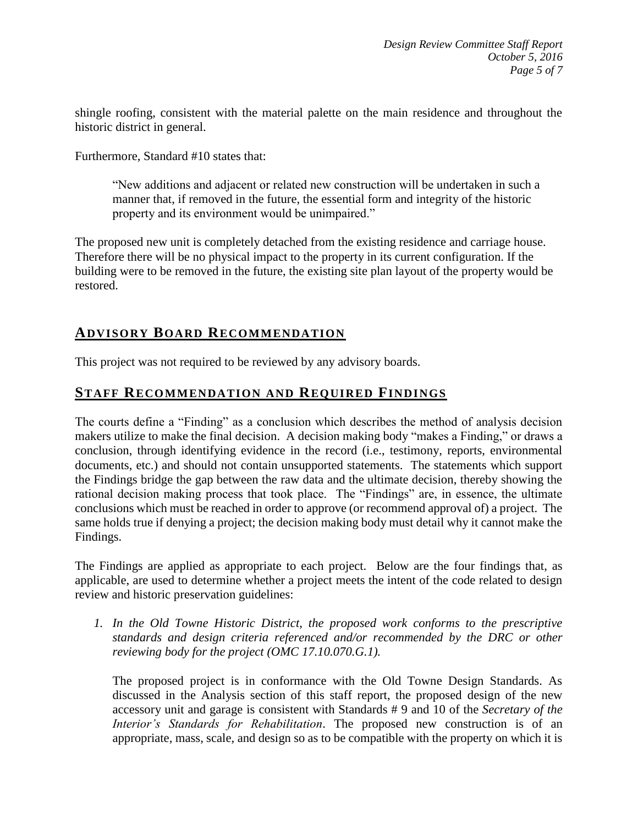shingle roofing, consistent with the material palette on the main residence and throughout the historic district in general.

Furthermore, Standard #10 states that:

"New additions and adjacent or related new construction will be undertaken in such a manner that, if removed in the future, the essential form and integrity of the historic property and its environment would be unimpaired."

The proposed new unit is completely detached from the existing residence and carriage house. Therefore there will be no physical impact to the property in its current configuration. If the building were to be removed in the future, the existing site plan layout of the property would be restored.

## **ADVISORY BOARD RECOMMENDATION**

This project was not required to be reviewed by any advisory boards.

### **STAFF RECOMMENDATION AND REQUIRED FINDINGS**

The courts define a "Finding" as a conclusion which describes the method of analysis decision makers utilize to make the final decision. A decision making body "makes a Finding," or draws a conclusion, through identifying evidence in the record (i.e., testimony, reports, environmental documents, etc.) and should not contain unsupported statements. The statements which support the Findings bridge the gap between the raw data and the ultimate decision, thereby showing the rational decision making process that took place. The "Findings" are, in essence, the ultimate conclusions which must be reached in order to approve (or recommend approval of) a project. The same holds true if denying a project; the decision making body must detail why it cannot make the Findings.

The Findings are applied as appropriate to each project.Below are the four findings that, as applicable, are used to determine whether a project meets the intent of the code related to design review and historic preservation guidelines:

*1. In the Old Towne Historic District, the proposed work conforms to the prescriptive standards and design criteria referenced and/or recommended by the DRC or other reviewing body for the project (OMC 17.10.070.G.1).*

The proposed project is in conformance with the Old Towne Design Standards. As discussed in the Analysis section of this staff report, the proposed design of the new accessory unit and garage is consistent with Standards # 9 and 10 of the *Secretary of the Interior's Standards for Rehabilitation*. The proposed new construction is of an appropriate, mass, scale, and design so as to be compatible with the property on which it is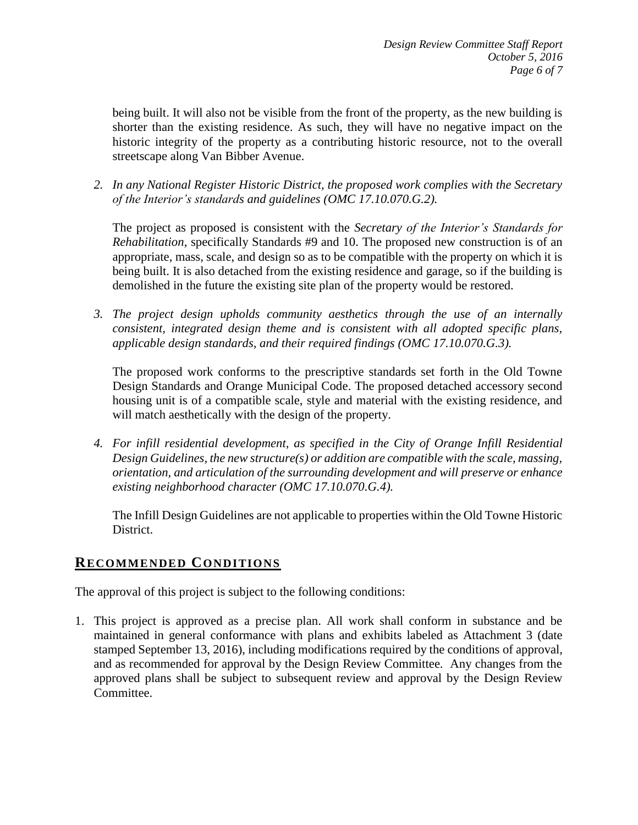being built. It will also not be visible from the front of the property, as the new building is shorter than the existing residence. As such, they will have no negative impact on the historic integrity of the property as a contributing historic resource, not to the overall streetscape along Van Bibber Avenue.

*2. In any National Register Historic District, the proposed work complies with the Secretary of the Interior's standards and guidelines (OMC 17.10.070.G.2).*

The project as proposed is consistent with the *Secretary of the Interior's Standards for Rehabilitation*, specifically Standards #9 and 10. The proposed new construction is of an appropriate, mass, scale, and design so as to be compatible with the property on which it is being built. It is also detached from the existing residence and garage, so if the building is demolished in the future the existing site plan of the property would be restored.

*3. The project design upholds community aesthetics through the use of an internally consistent, integrated design theme and is consistent with all adopted specific plans, applicable design standards, and their required findings (OMC 17.10.070.G.3).*

The proposed work conforms to the prescriptive standards set forth in the Old Towne Design Standards and Orange Municipal Code. The proposed detached accessory second housing unit is of a compatible scale, style and material with the existing residence, and will match aesthetically with the design of the property.

*4. For infill residential development, as specified in the City of Orange Infill Residential Design Guidelines, the new structure(s) or addition are compatible with the scale, massing, orientation, and articulation of the surrounding development and will preserve or enhance existing neighborhood character (OMC 17.10.070.G.4).*

The Infill Design Guidelines are not applicable to properties within the Old Towne Historic District.

# **RECOMMENDED CONDITIONS**

The approval of this project is subject to the following conditions:

1. This project is approved as a precise plan. All work shall conform in substance and be maintained in general conformance with plans and exhibits labeled as Attachment 3 (date stamped September 13, 2016), including modifications required by the conditions of approval, and as recommended for approval by the Design Review Committee. Any changes from the approved plans shall be subject to subsequent review and approval by the Design Review Committee.